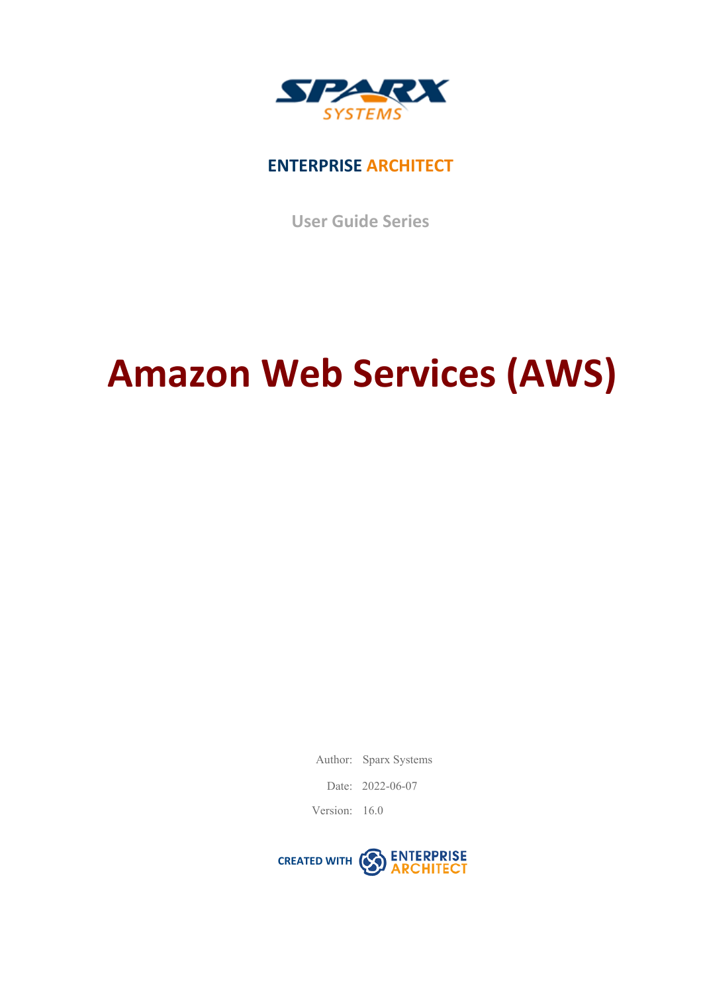

### **ENTERPRISE ARCHITECT**

**User Guide Series**

# **Amazon Web Services (AWS)**

Author: Sparx Systems

Date: 2022-06-07

Version: 16.0

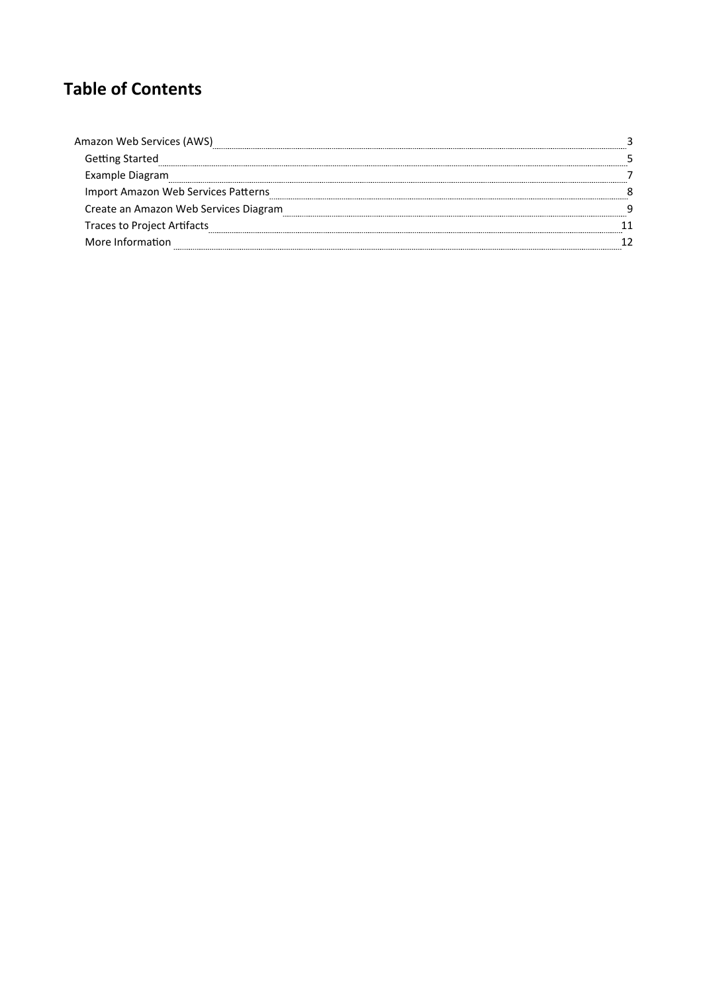### **Table of Contents**

| Amazon Web Services (AWS)             |  |
|---------------------------------------|--|
| <b>Getting Started</b>                |  |
| Example Diagram                       |  |
| Import Amazon Web Services Patterns   |  |
| Create an Amazon Web Services Diagram |  |
| Traces to Project Artifacts           |  |
| More Information                      |  |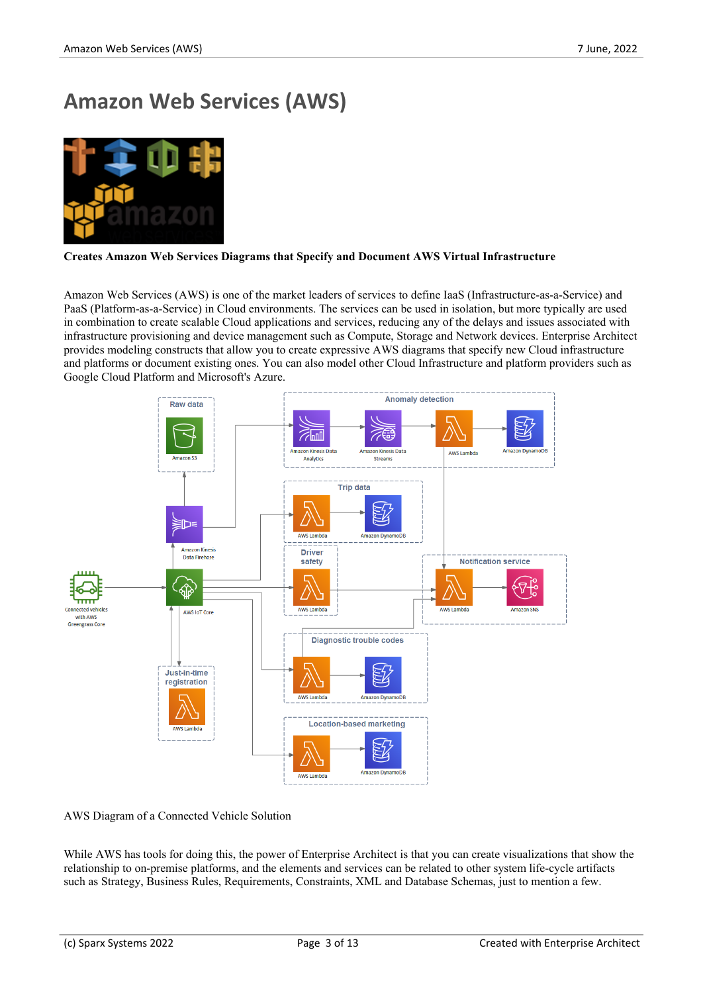## **Amazon Web Services (AWS)**



#### **Creates Amazon Web Services Diagrams that Specify and Document AWS Virtual Infrastructure**

Amazon Web Services (AWS) is one of the market leaders of services to define IaaS (Infrastructure-as-a-Service) and PaaS (Platform-as-a-Service) in Cloud environments. The services can be used in isolation, but more typically are used in combination to create scalable Cloud applications and services, reducing any of the delays and issues associated with infrastructure provisioning and device management such as Compute, Storage and Network devices. Enterprise Architect provides modeling constructs that allow you to create expressive AWS diagrams that specify new Cloud infrastructure and platforms or document existing ones. You can also model other Cloud Infrastructure and platform providers such as Google Cloud Platform and Microsoft's Azure.



#### AWS Diagram of a Connected Vehicle Solution

While AWS has tools for doing this, the power of Enterprise Architect is that you can create visualizations that show the relationship to on-premise platforms, and the elements and services can be related to other system life-cycle artifacts such as Strategy, Business Rules, Requirements, Constraints, XML and Database Schemas, just to mention a few.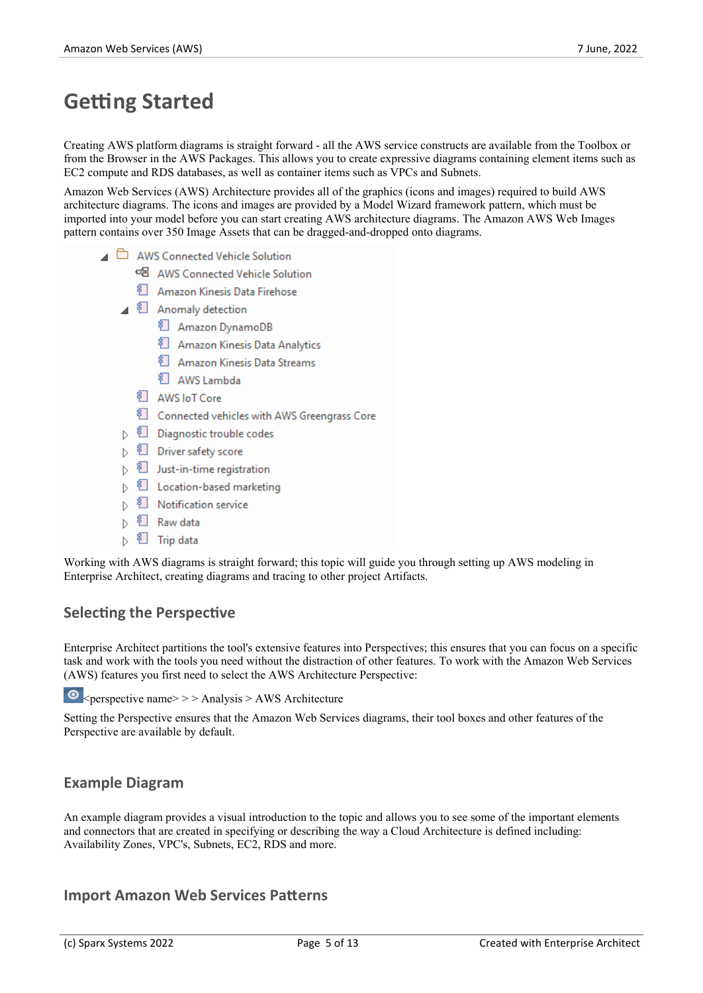### **Getting Started**

Creating AWS platform diagrams is straight forward - all the AWS service constructs are available from the Toolbox or from the Browser in the AWS Packages. This allows you to create expressive diagrams containing element items such as EC2 compute and RDS databases, as well as container items such as VPCs and Subnets.

Amazon Web Services (AWS) Architecture provides all of the graphics (icons and images) required to build AWS architecture diagrams. The icons and images are provided by a Model Wizard framework pattern, which must be imported into your model before you can start creating AWS architecture diagrams. The Amazon AWS Web Images pattern contains over 350 Image Assets that can be dragged-and-dropped onto diagrams.

- AWS Connected Vehicle Solution
	- <sub>미</sub>물 AWS Connected Vehicle Solution
	- <sup>3</sup> Amazon Kinesis Data Firehose
	- ▲ 訂 Anomaly detection
		- <sup>引</sup> Amazon DynamoDB
		- <sup>引</sup> Amazon Kinesis Data Analytics
		- <sup>3</sup> Amazon Kinesis Data Streams
		- <sup>引</sup> AWS Lambda
		- <sup>引</sup> AWS loT Core
		- <sup>3</sup> Connected vehicles with AWS Greengrass Core
	- ▷ 린 Diagnostic trouble codes
	- ▷ 휜 Driver safety score
	- $\triangleright$   $\frac{1}{2}$  Just-in-time registration
	- 킨 Location-based marketing  $\triangleright$
	- $\triangleright$ <sup>引</sup> Notification service
	- $\triangleright$ <sup>引</sup> Raw data
	- $\triangleright$ 乵 Trip data

Working with AWS diagrams is straight forward; this topic will guide you through setting up AWS modeling in Enterprise Architect, creating diagrams and tracing to other project Artifacts.

#### **Selecting the Perspective**

Enterprise Architect partitions the tool's extensive features into Perspectives; this ensures that you can focus on a specific task and work with the tools you need without the distraction of other features. To work with the Amazon Web Services (AWS) features you first need to select the AWS Architecture Perspective:

 $\bullet$  <perspective name>>> Analysis > AWS Architecture

Setting the Perspective ensures that the Amazon Web Services diagrams, their tool boxes and other features of the Perspective are available by default.

#### **Example Diagram**

An example diagram provides a visual introduction to the topic and allows you to see some of the important elements and connectors that are created in specifying or describing the way a Cloud Architecture is defined including: Availability Zones, VPC's, Subnets, EC2, RDS and more.

#### **Import Amazon Web Services Patterns**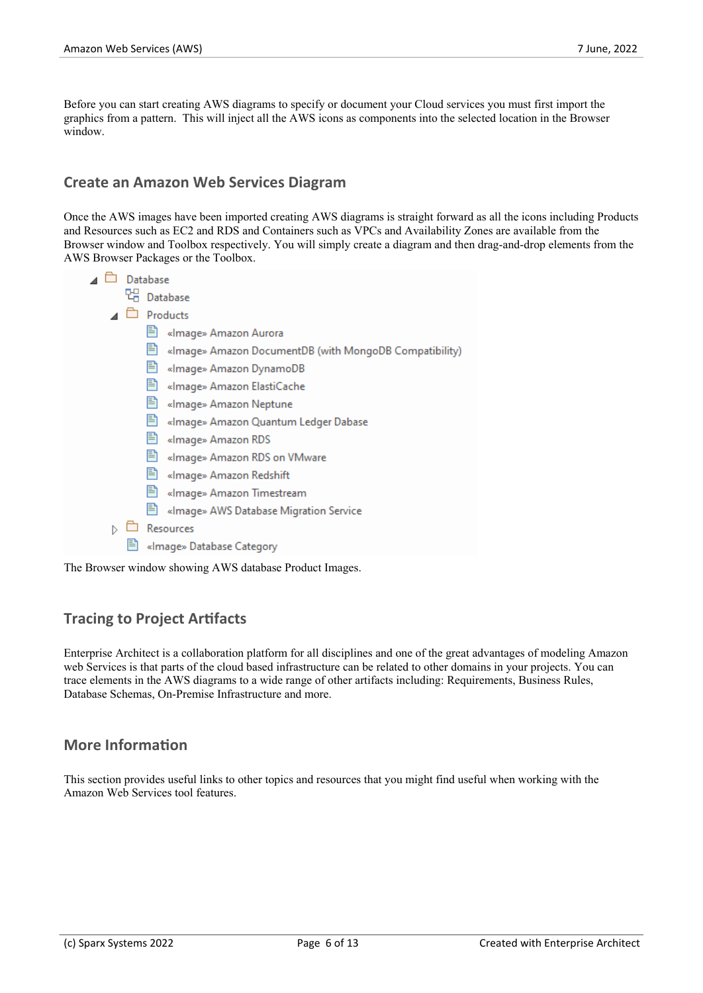Before you can start creating AWS diagrams to specify or document your Cloud services you must first import the graphics from a pattern. This will inject all the AWS icons as components into the selected location in the Browser window.

#### **Create an Amazon Web Services Diagram**

Once the AWS images have been imported creating AWS diagrams is straight forward as all the icons including Products and Resources such as EC2 and RDS and Containers such as VPCs and Availability Zones are available from the Browser window and Toolbox respectively. You will simply create a diagram and then drag-and-drop elements from the AWS Browser Packages or the Toolbox.

| Database<br>Products<br>«Image» Amazon Aurora<br>«Image» Amazon DocumentDB (with MongoDB Compatibility) | Database |  |  |
|---------------------------------------------------------------------------------------------------------|----------|--|--|
|                                                                                                         |          |  |  |
|                                                                                                         |          |  |  |
|                                                                                                         |          |  |  |
|                                                                                                         |          |  |  |
| «Image» Amazon DynamoDB                                                                                 |          |  |  |
| «Image» Amazon ElastiCache                                                                              |          |  |  |
| «Image» Amazon Neptune                                                                                  |          |  |  |
| «Image» Amazon Quantum Ledger Dabase                                                                    |          |  |  |
| «Image» Amazon RDS                                                                                      |          |  |  |
| 閆<br>«Image» Amazon RDS on VMware                                                                       |          |  |  |
| 目<br>«Image» Amazon Redshift                                                                            |          |  |  |
| «Image» Amazon Timestream                                                                               |          |  |  |
| «Image» AWS Database Migration Service                                                                  |          |  |  |
| <b>lesources</b>                                                                                        |          |  |  |

■ «Image» Database Category

The Browser window showing AWS database Product Images.

#### **Tracing to Project Artifacts**

Enterprise Architect is a collaboration platform for all disciplines and one of the great advantages of modeling Amazon web Services is that parts of the cloud based infrastructure can be related to other domains in your projects. You can trace elements in the AWS diagrams to a wide range of other artifacts including: Requirements, Business Rules, Database Schemas, On-Premise Infrastructure and more.

#### **More Information**

This section provides useful links to other topics and resources that you might find useful when working with the Amazon Web Services tool features.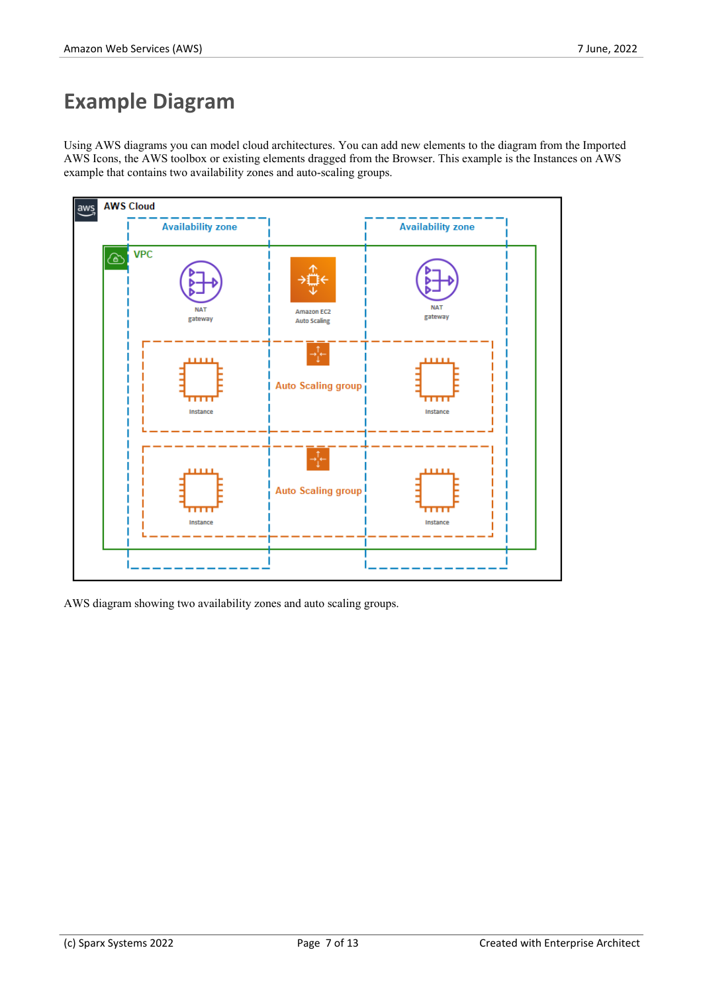### **Example Diagram**

Using AWS diagrams you can model cloud architectures. You can add new elements to the diagram from the Imported AWS Icons, the AWS toolbox or existing elements dragged from the Browser. This example is the Instances on AWS example that contains two availability zones and auto-scaling groups.



AWS diagram showing two availability zones and auto scaling groups.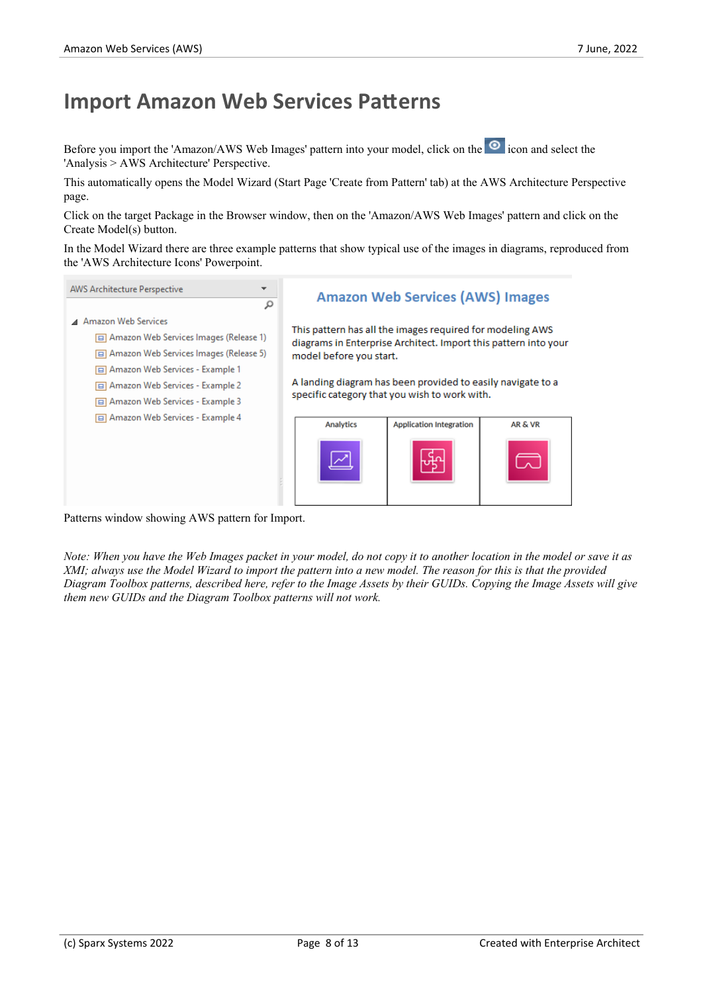### **Import Amazon Web Services Patterns**

Before you import the 'Amazon/AWS Web Images' pattern into your model, click on the <sup>o</sup> icon and select the 'Analysis > AWS Architecture' Perspective.

This automatically opens the Model Wizard (Start Page 'Create from Pattern' tab) at the AWS Architecture Perspective page.

Click on the target Package in the Browser window, then on the 'Amazon/AWS Web Images' pattern and click on the Create Model(s) button.

In the Model Wizard there are three example patterns that show typical use of the images in diagrams, reproduced from the 'AWS Architecture Icons' Powerpoint.



Patterns window showing AWS pattern for Import.

Note: When you have the Web Images packet in your model, do not copy it to another location in the model or save it as XMI; always use the Model Wizard to import the pattern into a new model. The reason for this is that the provided Diagram Toolbox patterns, described here, refer to the Image Assets by their GUIDs. Copying the Image Assets will give *them new GUIDs and the Diagram Toolbox patterns will not work.*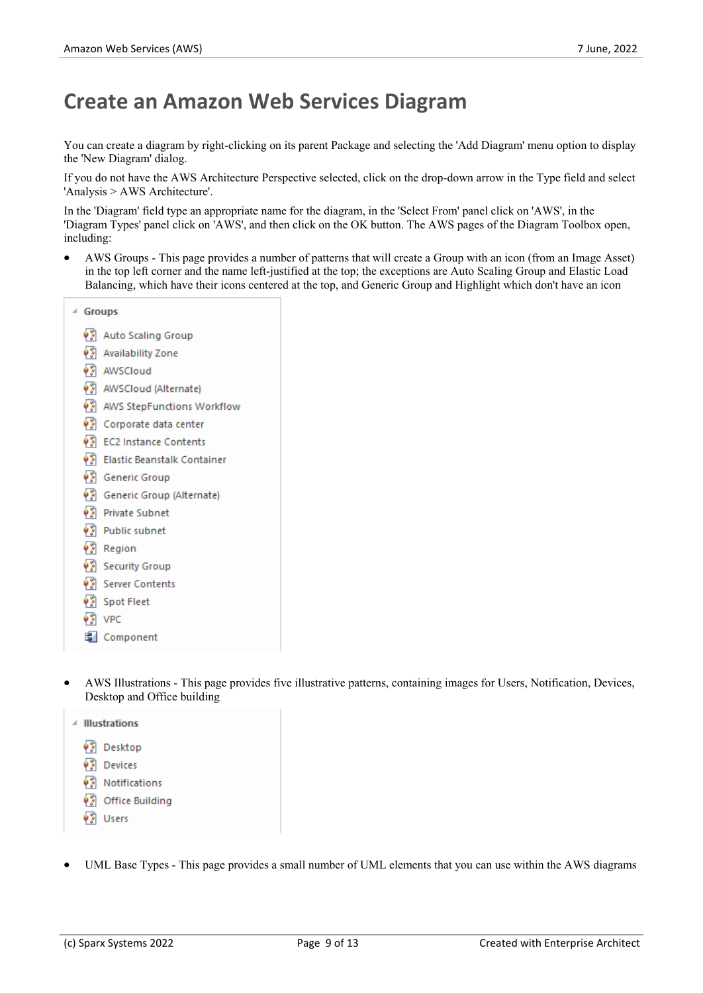### **Create an Amazon Web Services Diagram**

You can create a diagram by right-clicking on its parent Package and selecting the 'Add Diagram' menu option to display the 'New Diagram' dialog.

If you do not have the AWS Architecture Perspective selected, click on the drop-down arrow in the Type field and select 'Analysis > AWS Architecture'.

In the 'Diagram' field type an appropriate name for the diagram, in the 'Select From' panel click on 'AWS', in the 'Diagram Types' panel click on 'AWS', and then click on the OK button. The AWS pages ofthe Diagram Toolbox open, including:

AWS Groups - This page provides a number of patterns that will create a Group with an icon (from an Image Asset) in the top left corner and the name left-justified at the top; the exceptions are Auto Scaling Group and Elastic Load Balancing, which have their icons centered at the top, and Generic Group and Highlight which don't have an icon

| 4. | <b>Groups</b> |                             |  |
|----|---------------|-----------------------------|--|
|    | 45            | Auto Scaling Group          |  |
|    |               | Availability Zone           |  |
|    |               | <b>V</b> AWSCloud           |  |
|    |               | AWSCloud (Alternate)        |  |
|    |               | AWS StepFunctions Workflow  |  |
|    |               | Corporate data center       |  |
|    |               | EC2 Instance Contents       |  |
|    |               | Elastic Beanstalk Container |  |
|    |               | <b>B</b> Generic Group      |  |
|    |               | Generic Group (Alternate)   |  |
|    |               | ♦ Private Subnet            |  |
|    |               | Public subnet               |  |
|    |               | <b>PA</b> Region            |  |
|    |               | Security Group              |  |
|    |               | Server Contents             |  |
|    |               | Spot Fleet                  |  |
|    |               | $\sqrt{2}$ VPC              |  |
|    |               | 墨 Component                 |  |

- AWS Illustrations This page provides five illustrative patterns, containing images for Users, Notification, Devices, Desktop and Office building
	- ₫ Illustrations
		- Desktop
		- Devices
		- **VS** Notifications
		- Office Building
		- **VA** Users
- UML Base Types This page provides a small number of UML elements that you can use within the AWS diagrams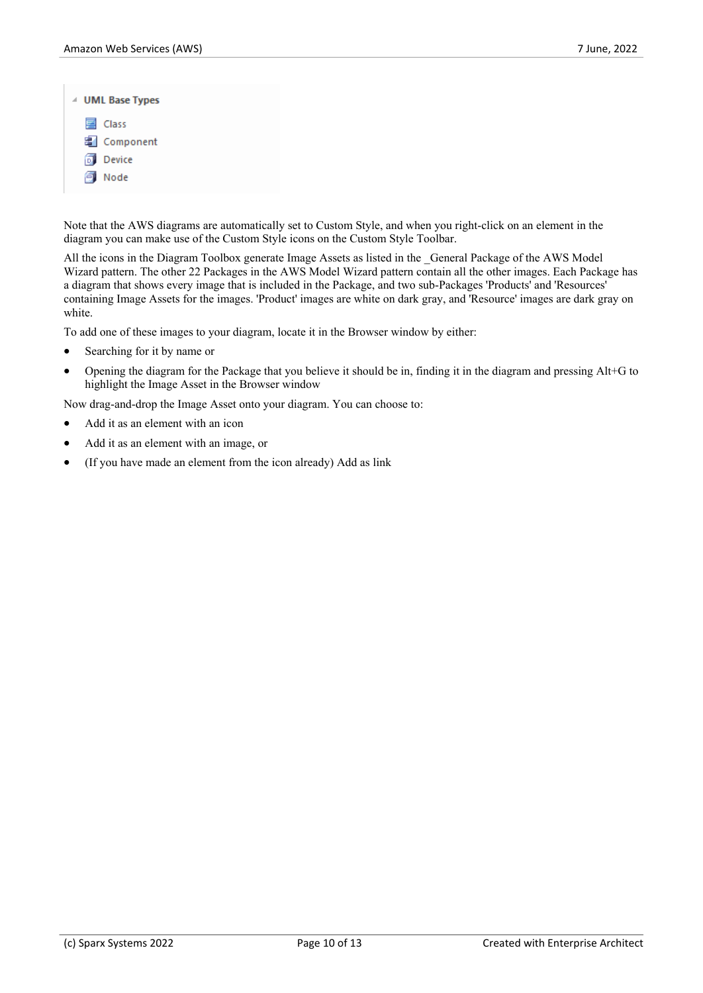| △ UML Base Types |
|------------------|
| 国 Class          |
| 图 Component      |
| <b>Device</b>    |
| Node             |

Note that the AWS diagrams are automatically set to Custom Style, and when you right-click on an element in the diagram you can make use of the Custom Style icons on the Custom Style Toolbar.<br>All the icons in the Diagram Toolbox generate Image Assets as listed in the General Package of the AWS Model

Wizard pattern. The other 22 Packages in the AWS Model Wizard pattern contain all the other images. Each Package has a diagram that shows every image that is included in the Package, and two sub-Packages 'Products' and 'Resources' containing Image Assets for the images. 'Product' images are white on dark gray, and 'Resource' images are dark gray on white.

To add one of these images to your diagram, locate it in the Browser window by either:

- Searching for it by name or
- · Opening the diagram for the Package that you believe it should be in, finding it in the diagram and pressingAlt+G to highlight the Image Asset in the Browser window

Now drag-and-drop the Image Asset onto your diagram. You can choose to:

- Add it as an element with an icon
- Add it as an element with an image, or
- · (If you have made an element from the icon already) Add as link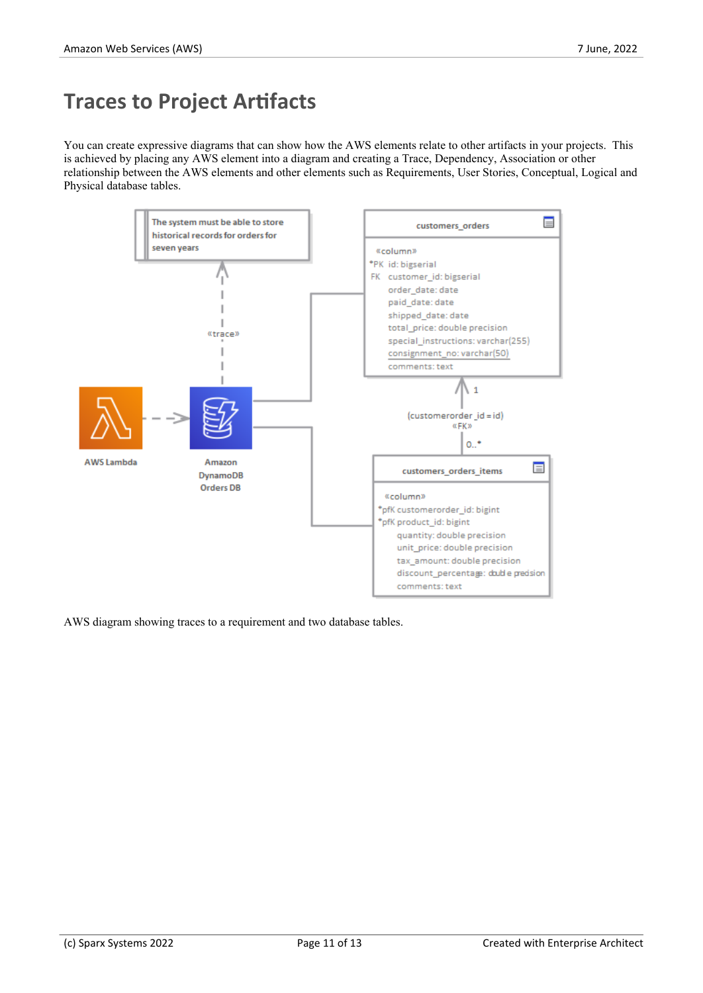### **Traces to Project Artifacts**

You can create expressive diagrams that can show how the AWS elements relate to other artifacts in your projects. This is achieved by placing any AWS element into a diagram and creating a Trace, Dependency, Association or other relationship between the AWS elements and other elements such as Requirements, User Stories, Conceptual, Logical and Physical database tables.



AWS diagram showing traces to a requirement and two database tables.